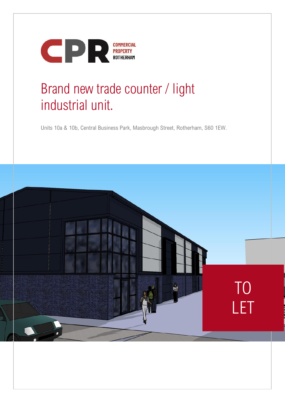

# Brand new trade counter / light industrial unit.

Units 10a & 10b, Central Business Park, Masbrough Street, Rotherham, S60 1EW.

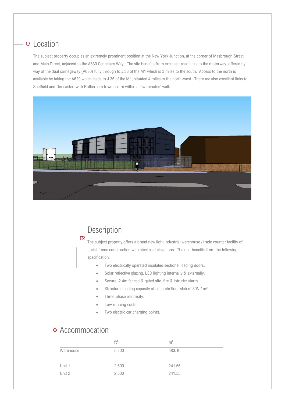#### **Q** Location

The subject property occupies an extremely prominent position at the New York Junction, at the corner of Masbrough Street and Main Street, adjacent to the A630 Centenary Way. The site benefits from excellent road links to the motorway, offered by way of the dual carriageway (A630) fully through to J.33 of the M1 which is 3 miles to the south. Access to the north is available by taking the A629 which leads to J.35 of the M1, situated 4 miles to the north-west. There are also excellent links to Sheffield and Doncaster, with Rotherham town centre within a few minutes' walk.



# Description

 $\mathscr{O}$ The subject property offers a brand new light industrial warehouse / trade counter facility of portal frame construction with steel clad elevations. The unit benefits from the following specification:

- Two electrically operated insulated sectional loading doors.
- Solar reflective glazing, LED lighting internally & externally.
- Secure, 2.4m fenced & gated site, fire & intruder alarm.
- Structural loading capacity of concrete floor slab of 30N / m<sup>2</sup>.
- Three-phase electricity.
- Low running costs.
- Two electric car charging points.

## Accommodation

|           | ft <sup>2</sup> | m <sup>2</sup> |
|-----------|-----------------|----------------|
| Warehouse | 5,200           | 483.10         |
|           |                 |                |
| Unit 1    | 2,600           | 241.55         |
| Unit 2    | 2,600           | 241.55         |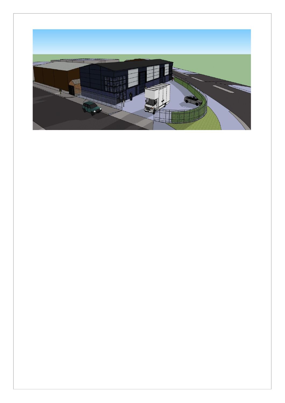